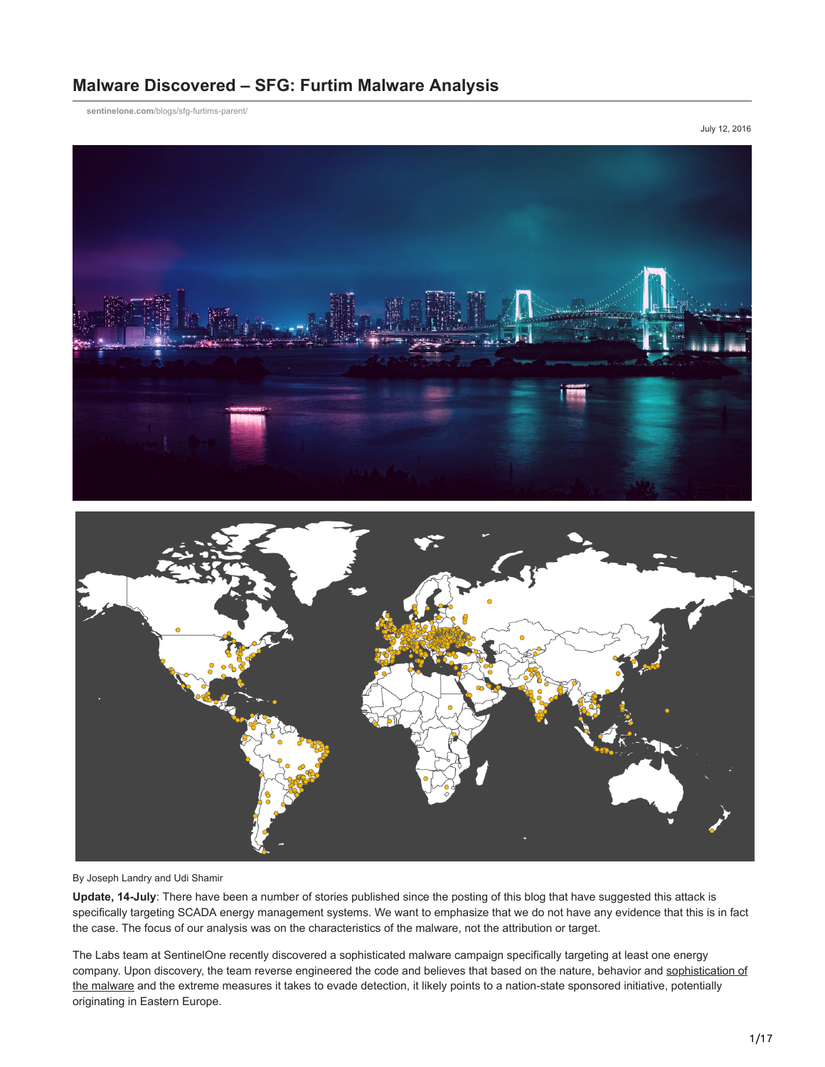# **Malware Discovered – SFG: Furtim Malware Analysis**

**sentinelone.com**[/blogs/sfg-furtims-parent/](https://sentinelone.com/blogs/sfg-furtims-parent/)

July 12, 2016



By Joseph Landry and Udi Shamir

**Update, 14-July**: There have been a number of stories published since the posting of this blog that have suggested this attack is specifically targeting SCADA energy management systems. We want to emphasize that we do not have any evidence that this is in fact the case. The focus of our analysis was on the characteristics of the malware, not the attribution or target.

The Labs team at SentinelOne recently discovered a sophisticated malware campaign specifically targeting at least one energy [company. Upon discovery, the team reverse engineered the code and believes that based on the nature, behavior and sophistication of](https://sentinelone.com/blogs/anatomy-of-cryptowall-3-0-a-look-inside-ransomwares-tactics/) the malware and the extreme measures it takes to evade detection, it likely points to a nation-state sponsored initiative, potentially originating in Eastern Europe.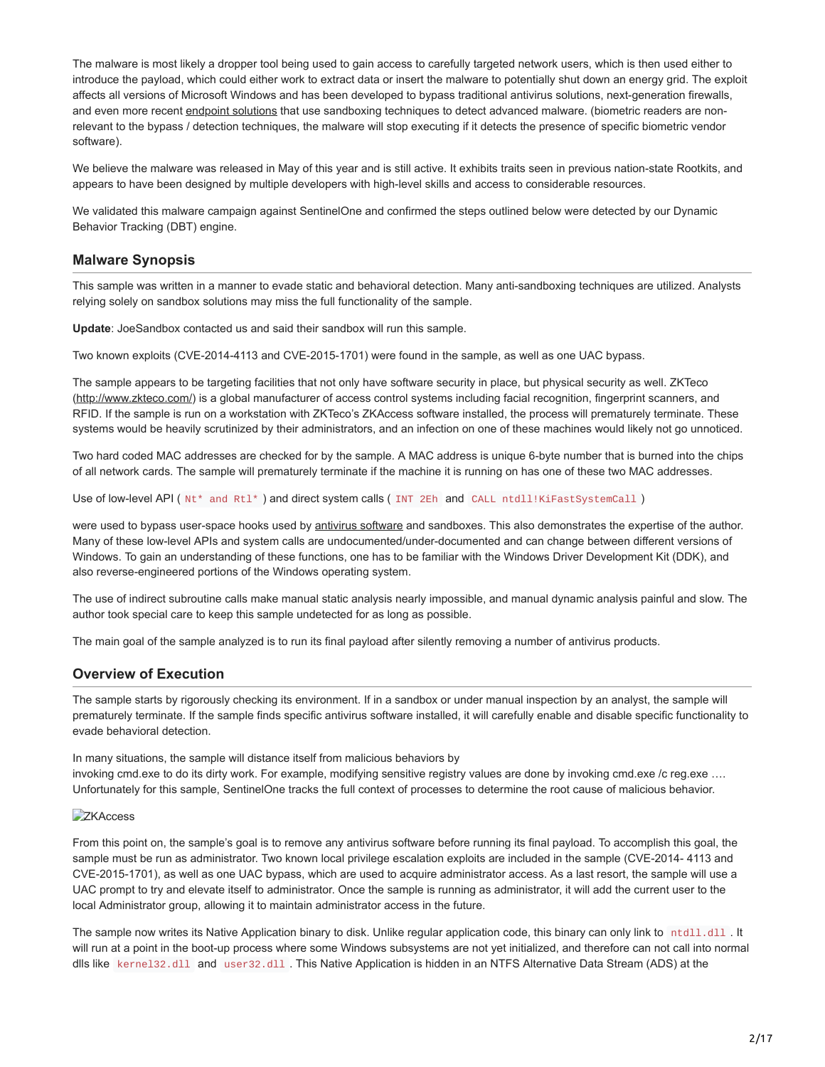The malware is most likely a dropper tool being used to gain access to carefully targeted network users, which is then used either to introduce the payload, which could either work to extract data or insert the malware to potentially shut down an energy grid. The exploit affects all versions of Microsoft Windows and has been developed to bypass traditional antivirus solutions, next-generation firewalls, and even more recent [endpoint solutions](https://www.sentinelone.com/cybersecurity-101/endpoint-security/) that use sandboxing techniques to detect advanced malware. (biometric readers are nonrelevant to the bypass / detection techniques, the malware will stop executing if it detects the presence of specific biometric vendor software).

We believe the malware was released in May of this year and is still active. It exhibits traits seen in previous nation-state Rootkits, and appears to have been designed by multiple developers with high-level skills and access to considerable resources.

We validated this malware campaign against SentinelOne and confirmed the steps outlined below were detected by our Dynamic Behavior Tracking (DBT) engine.

## **Malware Synopsis**

This sample was written in a manner to evade static and behavioral detection. Many anti-sandboxing techniques are utilized. Analysts relying solely on sandbox solutions may miss the full functionality of the sample.

**Update**: JoeSandbox contacted us and said their sandbox will run this sample.

Two known exploits (CVE-2014-4113 and CVE-2015-1701) were found in the sample, as well as one UAC bypass.

The sample appears to be targeting facilities that not only have software security in place, but physical security as well. ZKTeco ([http://www.zkteco.com/\)](http://www.zkteco.com/) is a global manufacturer of access control systems including facial recognition, fingerprint scanners, and RFID. If the sample is run on a workstation with ZKTeco's ZKAccess software installed, the process will prematurely terminate. These systems would be heavily scrutinized by their administrators, and an infection on one of these machines would likely not go unnoticed.

Two hard coded MAC addresses are checked for by the sample. A MAC address is unique 6-byte number that is burned into the chips of all network cards. The sample will prematurely terminate if the machine it is running on has one of these two MAC addresses.

Use of low-level API ( $Nt*$  and  $Rt1*$ ) and direct system calls (INT 2Eh and CALL ntdll!KiFastSystemCall)

were used to bypass user-space hooks used by [antivirus software](https://sentinelone.com/blogs/colossal-irony-popular-av-programs-vulnerable-breach/) and sandboxes. This also demonstrates the expertise of the author. Many of these low-level APIs and system calls are undocumented/under-documented and can change between different versions of Windows. To gain an understanding of these functions, one has to be familiar with the Windows Driver Development Kit (DDK), and also reverse-engineered portions of the Windows operating system.

The use of indirect subroutine calls make manual static analysis nearly impossible, and manual dynamic analysis painful and slow. The author took special care to keep this sample undetected for as long as possible.

The main goal of the sample analyzed is to run its final payload after silently removing a number of antivirus products.

## **Overview of Execution**

The sample starts by rigorously checking its environment. If in a sandbox or under manual inspection by an analyst, the sample will prematurely terminate. If the sample finds specific antivirus software installed, it will carefully enable and disable specific functionality to evade behavioral detection.

In many situations, the sample will distance itself from malicious behaviors by invoking cmd.exe to do its dirty work. For example, modifying sensitive registry values are done by invoking cmd.exe /c reg.exe …. Unfortunately for this sample, SentinelOne tracks the full context of processes to determine the root cause of malicious behavior.

#### **ZKAccess**

From this point on, the sample's goal is to remove any antivirus software before running its final payload. To accomplish this goal, the sample must be run as administrator. Two known local privilege escalation exploits are included in the sample (CVE-2014- 4113 and CVE-2015-1701), as well as one UAC bypass, which are used to acquire administrator access. As a last resort, the sample will use a UAC prompt to try and elevate itself to administrator. Once the sample is running as administrator, it will add the current user to the local Administrator group, allowing it to maintain administrator access in the future.

The sample now writes its Native Application binary to disk. Unlike regular application code, this binary can only link to ntdll.dll. It will run at a point in the boot-up process where some Windows subsystems are not yet initialized, and therefore can not call into normal dlls like kernel32.dll and user32.dll . This Native Application is hidden in an NTFS Alternative Data Stream (ADS) at the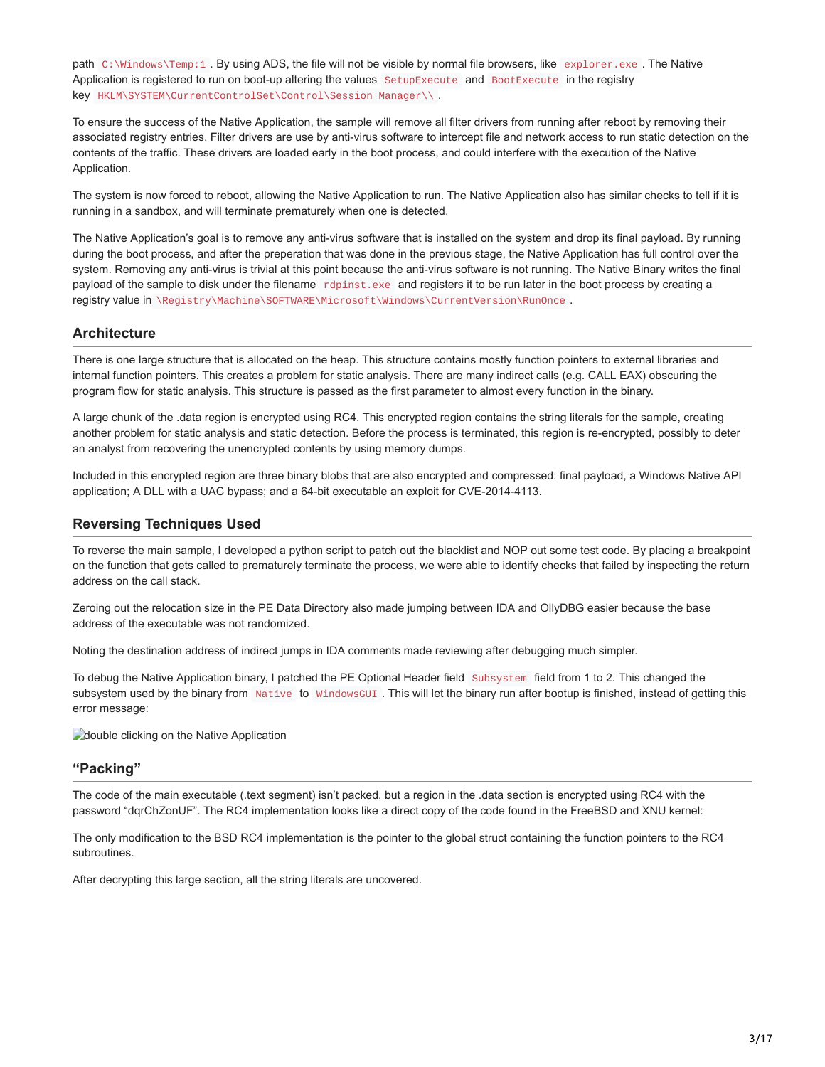path  $C:\W{indown\T}$ . By using ADS, the file will not be visible by normal file browsers, like explorer.exe. The Native Application is registered to run on boot-up altering the values SetupExecute and BootExecute in the registry key HKLM\SYSTEM\CurrentControlSet\Control\Session Manager\\ .

To ensure the success of the Native Application, the sample will remove all filter drivers from running after reboot by removing their associated registry entries. Filter drivers are use by anti-virus software to intercept file and network access to run static detection on the contents of the traffic. These drivers are loaded early in the boot process, and could interfere with the execution of the Native Application.

The system is now forced to reboot, allowing the Native Application to run. The Native Application also has similar checks to tell if it is running in a sandbox, and will terminate prematurely when one is detected.

The Native Application's goal is to remove any anti-virus software that is installed on the system and drop its final payload. By running during the boot process, and after the preperation that was done in the previous stage, the Native Application has full control over the system. Removing any anti-virus is trivial at this point because the anti-virus software is not running. The Native Binary writes the final payload of the sample to disk under the filename rdpinst, exe and registers it to be run later in the boot process by creating a registry value in \Registry\Machine\SOFTWARE\Microsoft\Windows\CurrentVersion\RunOnce .

## **Architecture**

There is one large structure that is allocated on the heap. This structure contains mostly function pointers to external libraries and internal function pointers. This creates a problem for static analysis. There are many indirect calls (e.g. CALL EAX) obscuring the program flow for static analysis. This structure is passed as the first parameter to almost every function in the binary.

A large chunk of the .data region is encrypted using RC4. This encrypted region contains the string literals for the sample, creating another problem for static analysis and static detection. Before the process is terminated, this region is re-encrypted, possibly to deter an analyst from recovering the unencrypted contents by using memory dumps.

Included in this encrypted region are three binary blobs that are also encrypted and compressed: final payload, a Windows Native API application; A DLL with a UAC bypass; and a 64-bit executable an exploit for CVE-2014-4113.

## **Reversing Techniques Used**

To reverse the main sample, I developed a python script to patch out the blacklist and NOP out some test code. By placing a breakpoint on the function that gets called to prematurely terminate the process, we were able to identify checks that failed by inspecting the return address on the call stack.

Zeroing out the relocation size in the PE Data Directory also made jumping between IDA and OllyDBG easier because the base address of the executable was not randomized.

Noting the destination address of indirect jumps in IDA comments made reviewing after debugging much simpler.

To debug the Native Application binary, I patched the PE Optional Header field Subsystem field from 1 to 2. This changed the subsystem used by the binary from Native to WindowsGUI. This will let the binary run after bootup is finished, instead of getting this error message:

**D**double clicking on the Native Application

#### **"Packing"**

The code of the main executable (.text segment) isn't packed, but a region in the .data section is encrypted using RC4 with the password "dqrChZonUF". The RC4 implementation looks like a direct copy of the code found in the FreeBSD and XNU kernel:

The only modification to the BSD RC4 implementation is the pointer to the global struct containing the function pointers to the RC4 subroutines.

After decrypting this large section, all the string literals are uncovered.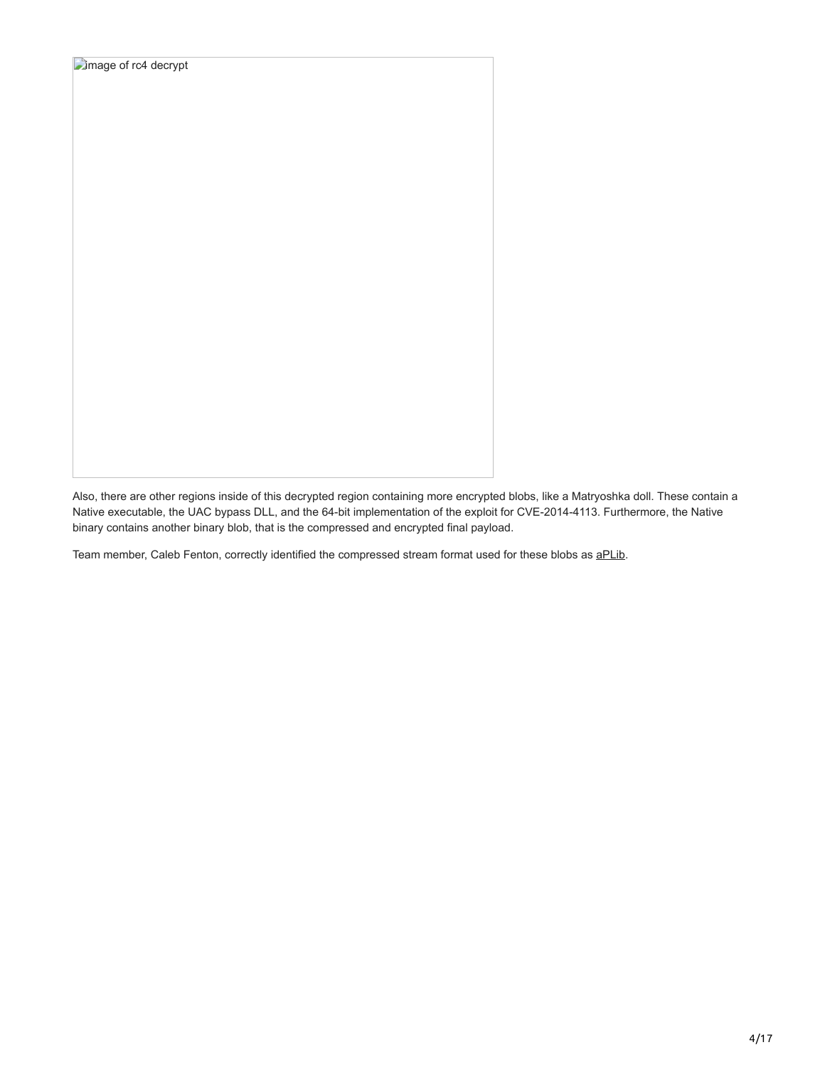**D**image of rc4 decrypt

Also, there are other regions inside of this decrypted region containing more encrypted blobs, like a Matryoshka doll. These contain a Native executable, the UAC bypass DLL, and the 64-bit implementation of the exploit for CVE-2014-4113. Furthermore, the Native binary contains another binary blob, that is the compressed and encrypted final payload.

Team member, Caleb Fenton, correctly identified the compressed stream format used for these blobs as [aPLib](http://ibsensoftware.com/products_aPLib.html).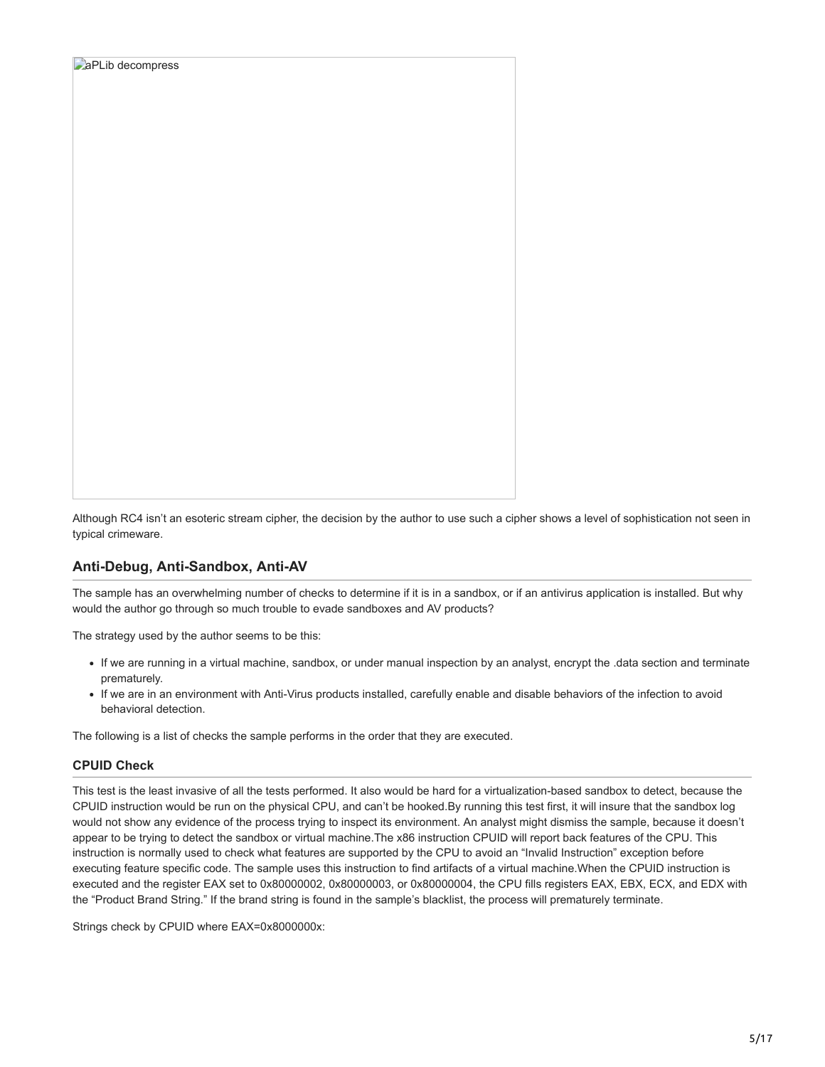**aPLib decompress** 

Although RC4 isn't an esoteric stream cipher, the decision by the author to use such a cipher shows a level of sophistication not seen in typical crimeware.

# **Anti-Debug, Anti-Sandbox, Anti-AV**

The sample has an overwhelming number of checks to determine if it is in a sandbox, or if an antivirus application is installed. But why would the author go through so much trouble to evade sandboxes and AV products?

The strategy used by the author seems to be this:

- If we are running in a virtual machine, sandbox, or under manual inspection by an analyst, encrypt the .data section and terminate prematurely.
- If we are in an environment with Anti-Virus products installed, carefully enable and disable behaviors of the infection to avoid behavioral detection.

The following is a list of checks the sample performs in the order that they are executed.

## **CPUID Check**

This test is the least invasive of all the tests performed. It also would be hard for a virtualization-based sandbox to detect, because the CPUID instruction would be run on the physical CPU, and can't be hooked.By running this test first, it will insure that the sandbox log would not show any evidence of the process trying to inspect its environment. An analyst might dismiss the sample, because it doesn't appear to be trying to detect the sandbox or virtual machine.The x86 instruction CPUID will report back features of the CPU. This instruction is normally used to check what features are supported by the CPU to avoid an "Invalid Instruction" exception before executing feature specific code. The sample uses this instruction to find artifacts of a virtual machine.When the CPUID instruction is executed and the register EAX set to 0x80000002, 0x80000003, or 0x80000004, the CPU fills registers EAX, EBX, ECX, and EDX with the "Product Brand String." If the brand string is found in the sample's blacklist, the process will prematurely terminate.

Strings check by CPUID where EAX=0x8000000x: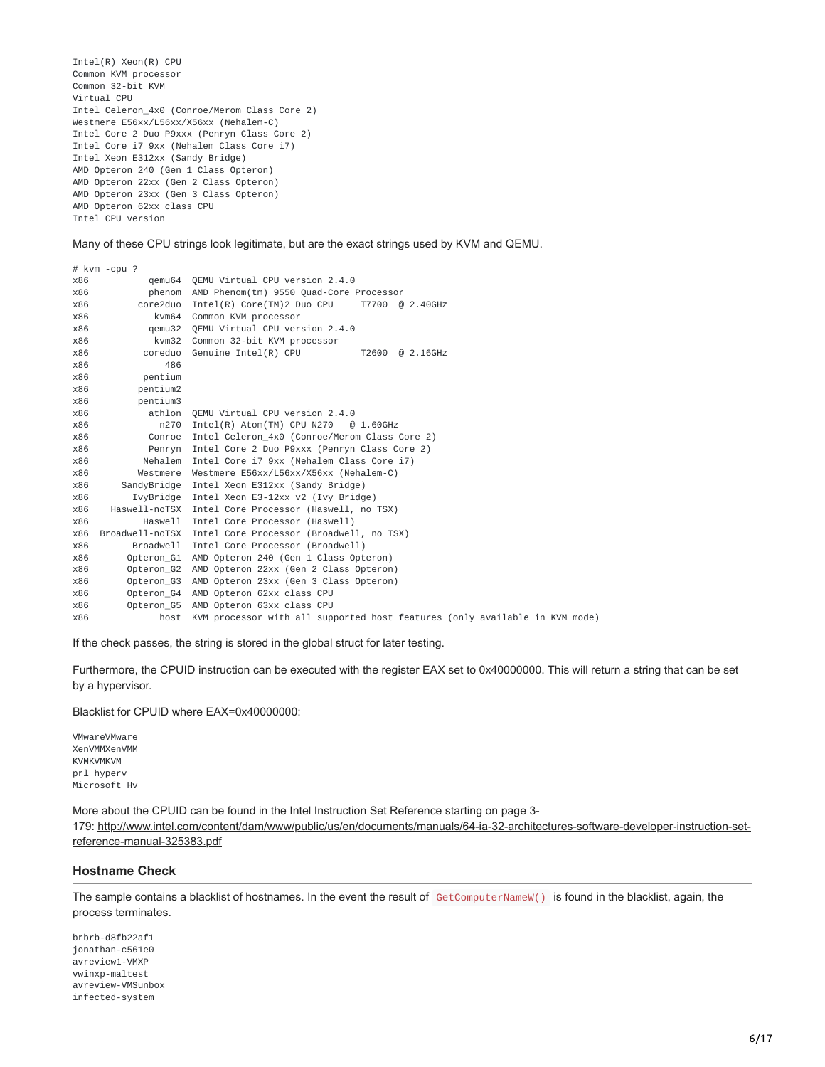Intel(R) Xeon(R) CPU Common KVM processor Common 32-bit KVM Virtual CPU Intel Celeron\_4x0 (Conroe/Merom Class Core 2) Westmere E56xx/L56xx/X56xx (Nehalem-C) Intel Core 2 Duo P9xxx (Penryn Class Core 2) Intel Core i7 9xx (Nehalem Class Core i7) Intel Xeon E312xx (Sandy Bridge) AMD Opteron 240 (Gen 1 Class Opteron) AMD Opteron 22xx (Gen 2 Class Opteron) AMD Opteron 23xx (Gen 3 Class Opteron) AMD Opteron 62xx class CPU Intel CPU version

Many of these CPU strings look legitimate, but are the exact strings used by KVM and QEMU.

|     | # kvm -cpu ? |                                                                             |  |
|-----|--------------|-----------------------------------------------------------------------------|--|
| x86 | aemu64       | OEMU Virtual CPU version 2.4.0                                              |  |
| x86 | phenom       | AMD Phenom(tm) 9550 Quad-Core Processor                                     |  |
| x86 | core2duo     | Intel(R) Core(TM)2 Duo CPU<br>T7700 @ 2.40GHz                               |  |
| x86 | kvm64        | Common KVM processor                                                        |  |
| x86 | qemu32       | QEMU Virtual CPU version 2.4.0                                              |  |
| x86 | kvm32        | Common 32-bit KVM processor                                                 |  |
| x86 | coreduo      | Genuine Intel(R) CPU<br>T2600<br>@ 2.16GHz                                  |  |
| x86 | 486          |                                                                             |  |
| x86 | pentium      |                                                                             |  |
| x86 | pentium2     |                                                                             |  |
| x86 | pentium3     |                                                                             |  |
| x86 |              | athlon QEMU Virtual CPU version 2.4.0                                       |  |
| x86 | n270         | Intel(R) Atom(TM) CPU N270<br>@ 1.60GHZ                                     |  |
| x86 | Conroe       | Intel Celeron 4x0 (Conroe/Merom Class Core 2)                               |  |
| x86 | Penryn       | Intel Core 2 Duo P9xxx (Penryn Class Core 2)                                |  |
| x86 | Nehalem      | Intel Core i7 9xx (Nehalem Class Core i7)                                   |  |
| x86 | Westmere     | Westmere E56xx/L56xx/X56xx (Nehalem-C)                                      |  |
| x86 | SandyBridge  | Intel Xeon E312xx (Sandy Bridge)                                            |  |
| x86 |              | IvyBridge Intel Xeon E3-12xx v2 (Ivy Bridge)                                |  |
| x86 |              | Haswell-noTSX Intel Core Processor (Haswell, no TSX)                        |  |
| x86 |              | Haswell Intel Core Processor (Haswell)                                      |  |
| x86 |              | Broadwell-noTSX Intel Core Processor (Broadwell, no TSX)                    |  |
| x86 | Broadwell    | Intel Core Processor (Broadwell)                                            |  |
| x86 |              | Opteron G1 AMD Opteron 240 (Gen 1 Class Opteron)                            |  |
| x86 |              | Opteron_G2 AMD Opteron 22xx (Gen 2 Class Opteron)                           |  |
| x86 | Opteron G3   | AMD Opteron 23xx (Gen 3 Class Opteron)                                      |  |
| x86 | Opteron G4   | AMD Opteron 62xx class CPU                                                  |  |
| x86 | Opteron G5   | AMD Opteron 63xx class CPU                                                  |  |
| x86 | host         | KVM processor with all supported host features (only available in KVM mode) |  |

If the check passes, the string is stored in the global struct for later testing.

Furthermore, the CPUID instruction can be executed with the register EAX set to 0x40000000. This will return a string that can be set by a hypervisor.

Blacklist for CPUID where EAX=0x40000000:

VMwareVMware XenVMMXenVMM KVMKVMKVM prl hyperv Microsoft Hv

More about the CPUID can be found in the Intel Instruction Set Reference starting on page 3-

[179: http://www.intel.com/content/dam/www/public/us/en/documents/manuals/64-ia-32-architectures-software-developer-instruction-set](https://www.intel.com/content/dam/www/public/us/en/documents/manuals/64-ia-32-architectures-software-developer-instruction-set-reference-manual-325383.pdf)reference-manual-325383.pdf

## **Hostname Check**

The sample contains a blacklist of hostnames. In the event the result of GetComputerNameW() is found in the blacklist, again, the process terminates.

brbrb-d8fb22af1 jonathan-c561e0 avreview1-VMXP vwinxp-maltest avreview-VMSunbox infected-system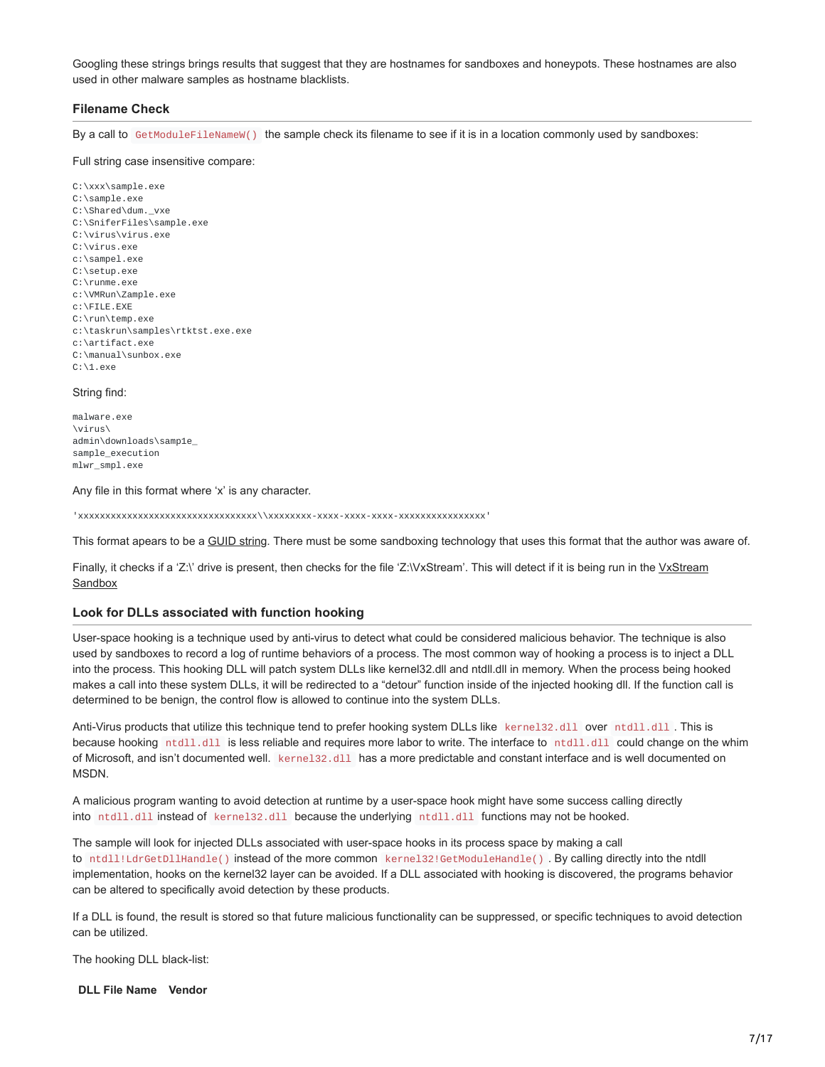Googling these strings brings results that suggest that they are hostnames for sandboxes and honeypots. These hostnames are also used in other malware samples as hostname blacklists.

## **Filename Check**

By a call to GetModuleFileNameW() the sample check its filename to see if it is in a location commonly used by sandboxes:

Full string case insensitive compare:

C:\xxx\sample.exe C:\sample.exe C:\Shared\dum. vxe C:\SniferFiles\sample.exe C:\virus\virus.exe C:\virus.exe c:\sampel.exe C:\setup.exe C:\runme.exe c:\VMRun\Zample.exe c:\FILE.EXE C:\run\temp.exe c:\taskrun\samples\rtktst.exe.exe c:\artifact.exe C:\manual\sunbox.exe C:\1.exe

#### String find:

malware.exe \virus\ admin\downloads\samp1e\_ sample\_execution mlwr\_smpl.exe

Any file in this format where 'x' is any character.

'xxxxxxxxxxxxxxxxxxxxxxxxxxxxxxxxx\\xxxxxxxx-xxxx-xxxx-xxxx-xxxxxxxxxxxxxxxx'

This format apears to be a [GUID string](https://en.wikipedia.org/wiki/Globally_unique_identifier). There must be some sandboxing technology that uses this format that the author was aware of.

[Finally, it checks if a 'Z:\' drive is present, then checks for the file 'Z:\VxStream'. This will detect if it is being run in the VxStream](https://www.vxstream-sandbox.com/) Sandbox

#### **Look for DLLs associated with function hooking**

User-space hooking is a technique used by anti-virus to detect what could be considered malicious behavior. The technique is also used by sandboxes to record a log of runtime behaviors of a process. The most common way of hooking a process is to inject a DLL into the process. This hooking DLL will patch system DLLs like kernel32.dll and ntdll.dll in memory. When the process being hooked makes a call into these system DLLs, it will be redirected to a "detour" function inside of the injected hooking dll. If the function call is determined to be benign, the control flow is allowed to continue into the system DLLs.

Anti-Virus products that utilize this technique tend to prefer hooking system DLLs like kerne132.dll over ntd11.dl1. This is because hooking ntdll.dll is less reliable and requires more labor to write. The interface to ntdll.dll could change on the whim of Microsoft, and isn't documented well. kernel32.dll has a more predictable and constant interface and is well documented on MSDN.

A malicious program wanting to avoid detection at runtime by a user-space hook might have some success calling directly into ntdll.dll instead of kernel32.dll because the underlying ntdll.dll functions may not be hooked.

The sample will look for injected DLLs associated with user-space hooks in its process space by making a call to ntdll!LdrGetDllHandle() instead of the more common kernel32!GetModuleHandle(). By calling directly into the ntdll implementation, hooks on the kernel32 layer can be avoided. If a DLL associated with hooking is discovered, the programs behavior can be altered to specifically avoid detection by these products.

If a DLL is found, the result is stored so that future malicious functionality can be suppressed, or specific techniques to avoid detection can be utilized.

The hooking DLL black-list:

**DLL File Name Vendor**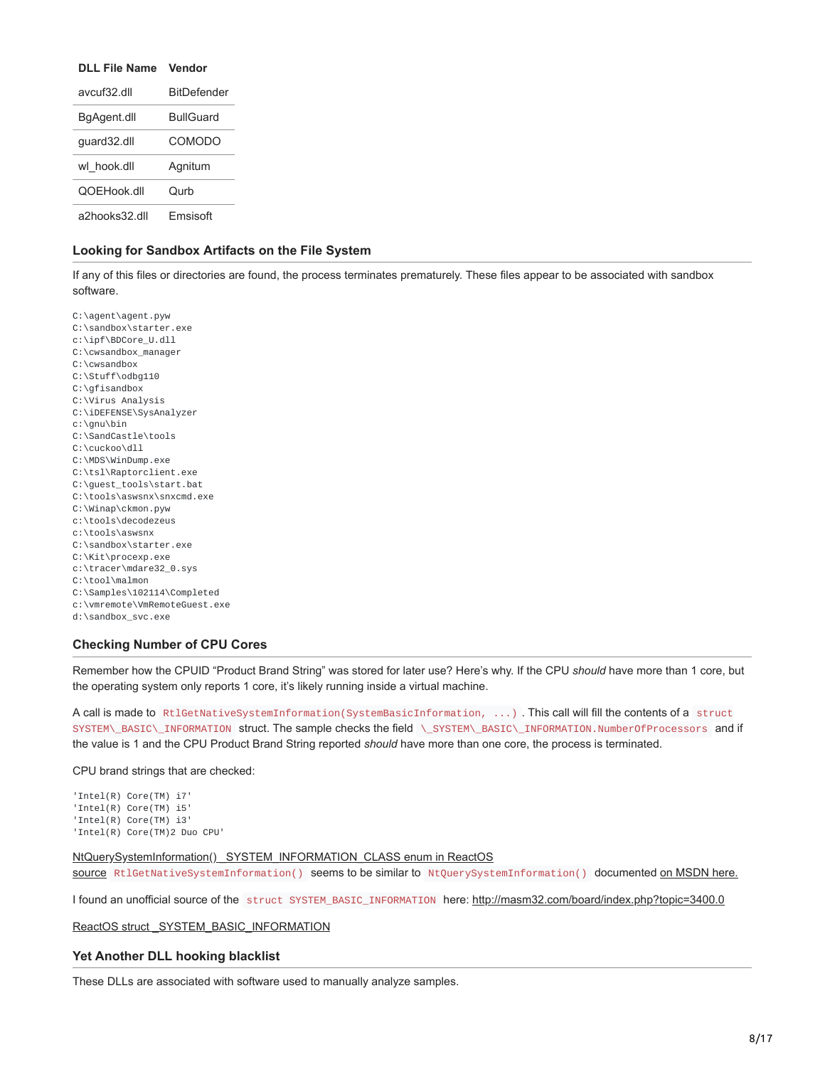| DLL File Name | Vendor             |
|---------------|--------------------|
| avcuf32 dll   | <b>BitDefender</b> |
| BgAgent.dll   | <b>BullGuard</b>   |
| quard32.dll   | COMODO             |
| wl hook.dll   | Agnitum            |
| OOFHook dll   | Qurb               |
| a2hooks32.dll | Emsisoft           |

## **Looking for Sandbox Artifacts on the File System**

If any of this files or directories are found, the process terminates prematurely. These files appear to be associated with sandbox software.

C:\agent\agent.pyw C:\sandbox\starter.exe c:\ipf\BDCore\_U.dll C:\cwsandbox\_manager C:\cwsandbox C:\Stuff\odbg110 C:\gfisandbox C:\Virus Analysis C:\iDEFENSE\SysAnalyzer c:\anu\bin C:\SandCastle\tools C:\cuckoo\dll C:\MDS\WinDump.exe C:\tsl\Raptorclient.exe C:\guest\_tools\start.bat C:\tools\aswsnx\snxcmd.exe C:\Winap\ckmon.pyw c:\tools\decodezeus c:\tools\aswsnx C:\sandbox\starter.exe C:\Kit\procexp.exe c:\tracer\mdare32\_0.sys C:\tool\malmon C:\Samples\102114\Completed c:\vmremote\VmRemoteGuest.exe d:\sandbox\_svc.exe

#### **Checking Number of CPU Cores**

Remember how the CPUID "Product Brand String" was stored for later use? Here's why. If the CPU *should* have more than 1 core, but the operating system only reports 1 core, it's likely running inside a virtual machine.

A call is made to RtlGetNativeSystemInformation(SystemBasicInformation, ...) . This call will fill the contents of a struct SYSTEM\\_BASIC\\_INFORMATION struct. The sample checks the field \\_SYSTEM\\_BASIC\\_INFORMATION.NumberOfProcessors and if the value is 1 and the CPU Product Brand String reported *should* have more than one core, the process is terminated.

CPU brand strings that are checked:

'Intel(R) Core(TM) i7' 'Intel(R) Core(TM) i5' 'Intel(R) Core(TM) i3' 'Intel(R) Core(TM)2 Duo CPU'

#### [NtQuerySystemInformation\(\) \\_SYSTEM\\_INFORMATION\\_CLASS enum in ReactOS](https://github.com/reactos/reactos/blob/0d677ac9e42ccad043debc212ed21d26e6f6af2b/reactos/drivers/filesystems/udfs/Include/ntddk_ex.h#L11)

source RtlGetNativeSystemInformation() seems to be similar to NtQuerySystemInformation() documented [on MSDN here.](https://msdn.microsoft.com/en-us/library/windows/desktop/ms724509.aspx)

I found an unofficial source of the struct SYSTEM\_BASIC\_INFORMATION here: <http://masm32.com/board/index.php?topic=3400.0>

[ReactOS struct \\_SYSTEM\\_BASIC\\_INFORMATION](https://github.com/reactos/reactos/blob/b470751018d5658dd3c24c5050bd711b5776800b/reactos/sdk/include/psdk/winternl.h#L484)

## **Yet Another DLL hooking blacklist**

These DLLs are associated with software used to manually analyze samples.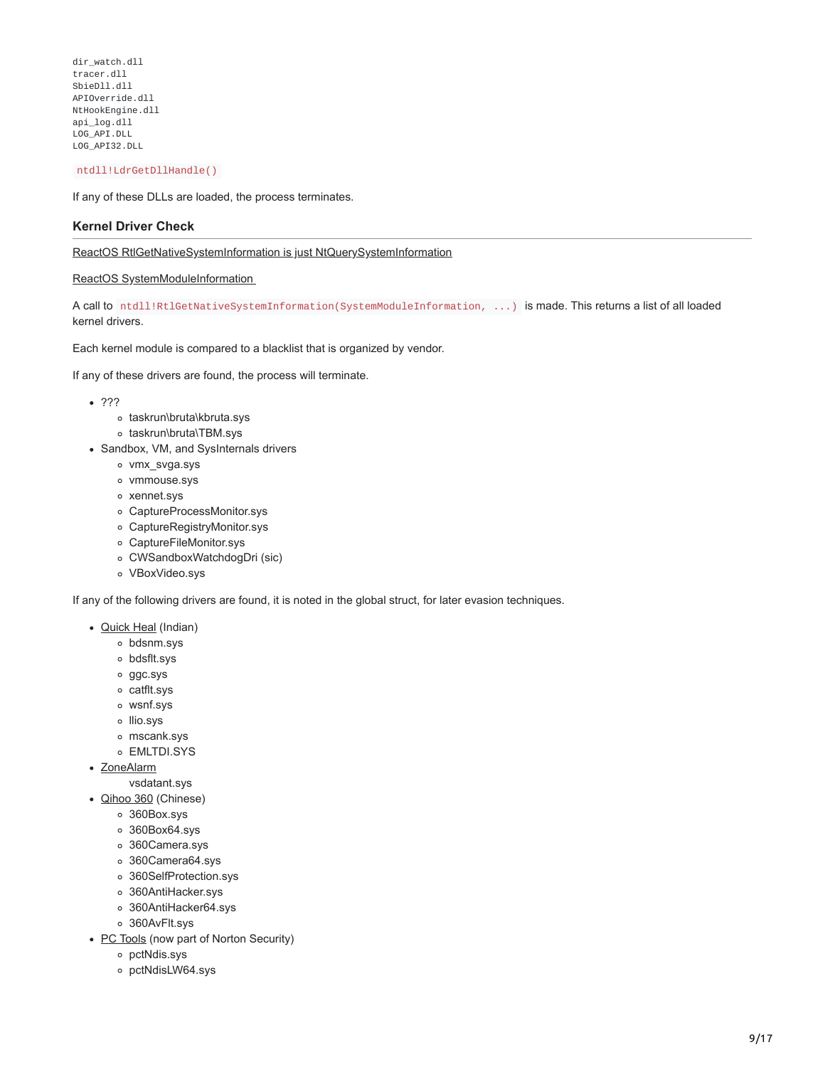dir watch.dll tracer.dll SbieDll.dll APIOverride.dll NtHookEngine.dll api\_log.dll LOG\_API.DLL LOG\_API32.DLL

ntdll!LdrGetDllHandle()

If any of these DLLs are loaded, the process terminates.

## **Kernel Driver Check**

[ReactOS RtlGetNativeSystemInformation is just NtQuerySystemInformation](https://github.com/reactos/reactos/blob/0d677ac9e42ccad043debc212ed21d26e6f6af2b/reactos/dll/ntdll/def/ntdll.spec#L668)

#### [ReactOS SystemModuleInformation](https://github.com/reactos/reactos/blob/0d677ac9e42ccad043debc212ed21d26e6f6af2b/reactos/drivers/filesystems/udfs/Include/ntddk_ex.h#L22)

A call to ntdll!RtlGetNativeSystemInformation(SystemModuleInformation, ...) is made. This returns a list of all loaded kernel drivers.

Each kernel module is compared to a blacklist that is organized by vendor.

If any of these drivers are found, the process will terminate.

- $.722$ 
	- taskrun\bruta\kbruta.sys
	- taskrun\bruta\TBM.sys
- Sandbox, VM, and SysInternals drivers
	- vmx\_svga.sys
	- vmmouse.sys
	- xennet.sys
	- CaptureProcessMonitor.sys
	- CaptureRegistryMonitor.sys
	- CaptureFileMonitor.sys
	- CWSandboxWatchdogDri (sic)
	- VBoxVideo.sys

If any of the following drivers are found, it is noted in the global struct, for later evasion techniques.

- [Quick Heal](http://www.quickheal.com/) (Indian)
	- bdsnm.sys
	- bdsflt.sys
	- ggc.sys
	- catflt.sys
	- wsnf.sys
	- llio.sys
	- mscank.sys
	- EMLTDI.SYS
- [ZoneAlarm](http://www.zonealarm.com/)
	- vsdatant.sys
- [Qihoo 360](https://www.360totalsecurity.com/) (Chinese)
	- 360Box.sys
	- 360Box64.sys
	- 360Camera.sys
	- 360Camera64.sys
	- 360SelfProtection.sys
	- 360AntiHacker.sys
	- 360AntiHacker64.sys
	- 360AvFlt.sys
- [PC Tools](http://www.pctools.com/) (now part of Norton Security)
	- pctNdis.sys
	- pctNdisLW64.sys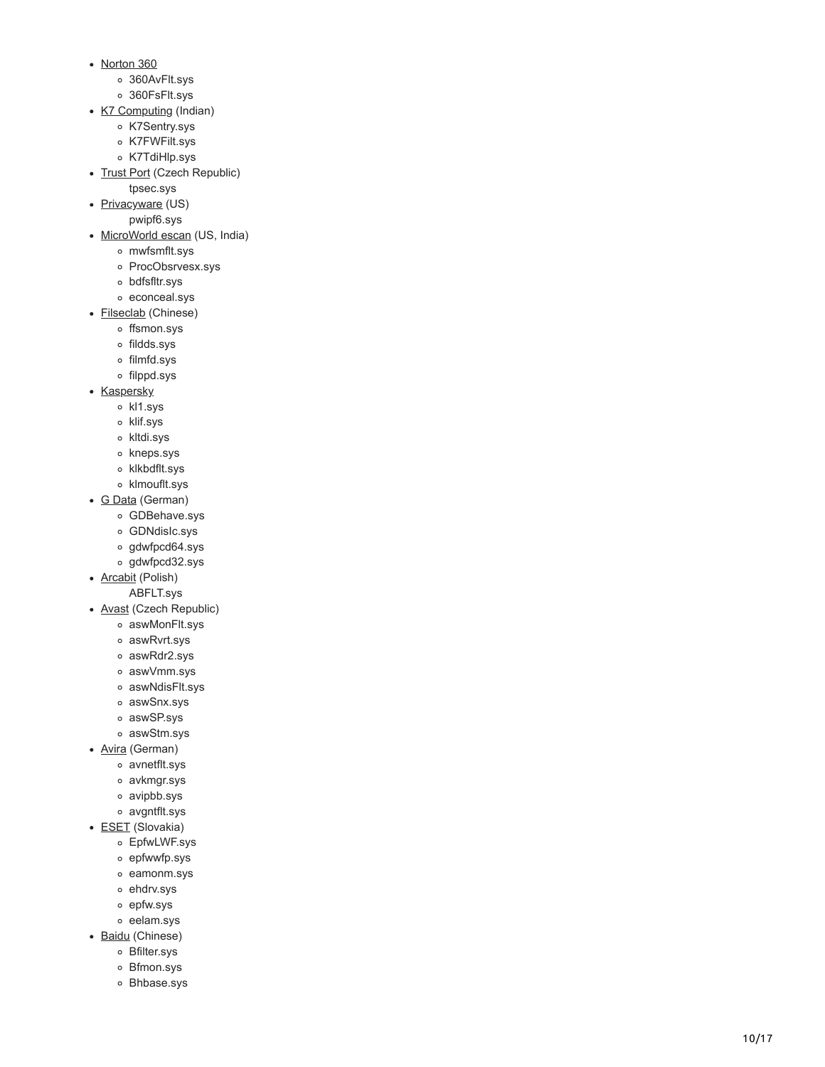- [Norton 360](https://us.norton.com/360)
	- 360AvFlt.sys
	- 360FsFlt.sys
- [K7 Computing](https://www.k7computing.com/) (Indian)
	- o K7Sentry.sys
	- K7FWFilt.sys
	- K7TdiHlp.sys
- [Trust Port](http://www.trustport.com/) (Czech Republic)
- tpsec.sys
- [Privacyware](http://www.privacyware.com/) (US)
	- pwipf6.sys
- [MicroWorld escan](http://www.escanav.com/) (US, India)
	- mwfsmflt.sys
	- ProcObsrvesx.sys
	- bdfsfltr.sys
	- econceal.sys
- [Filseclab](http://www.filseclab.com/) (Chinese)
	- ffsmon.sys
	- fildds.sys
	- filmfd.sys
	- filppd.sys
- [Kaspersky](http://kaspersky.com/)
	- kl1.sys
	- klif.sys
	- kltdi.sys
	- kneps.sys
	- klkbdflt.sys
	- o klmouflt.sys
- [G Data](https://www.gdata-software.com/) (German)
	- GDBehave.sys
	- GDNdisIc.sys
	- gdwfpcd64.sys
	- gdwfpcd32.sys
- **[Arcabit](https://www.arcabit.pl/)** (Polish)
- ABFLT.sys
- [Avast](https://www.avast.com/) (Czech Republic)
	- aswMonFlt.sys
	- aswRvrt.sys
	- aswRdr2.sys
	- aswVmm.sys
	- aswNdisFlt.sys
	- aswSnx.sys
	- aswSP.sys
	- aswStm.sys
- **Avira** (German)
	- avnetflt.sys
	- avkmgr.sys
	- avipbb.sys
	- avgntflt.sys
- [ESET](https://www.eset.com/) (Slovakia)
- - EpfwLWF.sys
	- epfwwfp.sys
	- eamonm.sys
	- ehdrv.sys
	- epfw.sys
	- eelam.sys
- [Baidu](http://antivirus.baidu.com/) (Chinese) Bfilter.sys
	- Bfmon.sys
	- Bhbase.sys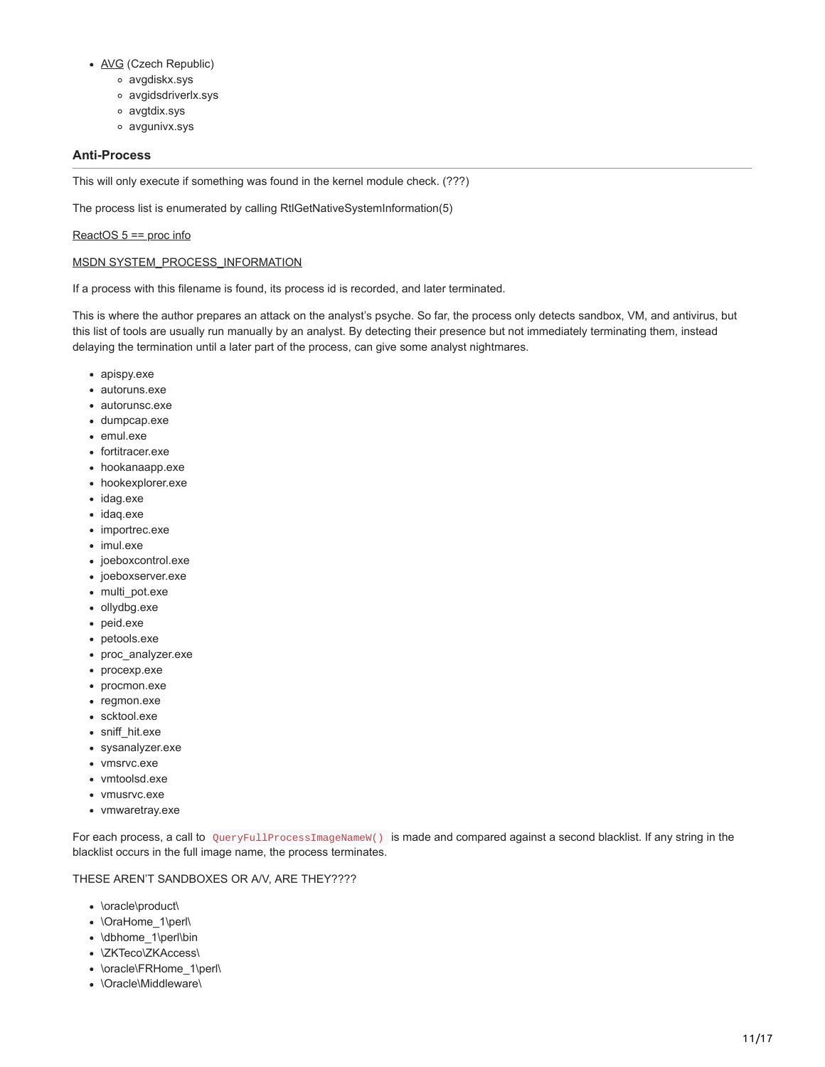- [AVG](http://www.avg.com/) (Czech Republic)
	- avgdiskx.sys
	- avgidsdriverlx.sys
	- avgtdix.sys
	- avgunivx.sys

## **Anti-Process**

This will only execute if something was found in the kernel module check. (???)

The process list is enumerated by calling RtlGetNativeSystemInformation(5)

#### [ReactOS 5 == proc info](https://github.com/reactos/reactos/blob/0d677ac9e42ccad043debc212ed21d26e6f6af2b/reactos/drivers/filesystems/udfs/Include/ntddk_ex.h#L16)

#### [MSDN SYSTEM\\_PROCESS\\_INFORMATION](https://msdn.microsoft.com/en-us/library/ms725506.aspx)

If a process with this filename is found, its process id is recorded, and later terminated.

This is where the author prepares an attack on the analyst's psyche. So far, the process only detects sandbox, VM, and antivirus, but this list of tools are usually run manually by an analyst. By detecting their presence but not immediately terminating them, instead delaying the termination until a later part of the process, can give some analyst nightmares.

- apispy.exe
- autoruns.exe
- autorunsc.exe
- dumpcap.exe
- emul.exe
- fortitracer.exe
- hookanaapp.exe
- hookexplorer.exe
- idag.exe
- idaq.exe
- importrec.exe
- imul.exe
- joeboxcontrol.exe
- joeboxserver.exe
- multi\_pot.exe
- ollydbg.exe
- peid.exe
- petools.exe
- proc\_analyzer.exe
- procexp.exe
- procmon.exe
- regmon.exe
- scktool.exe
- sniff\_hit.exe
- sysanalyzer.exe
- vmsrvc.exe
- vmtoolsd.exe
- vmusrvc.exe
- vmwaretray.exe

For each process, a call to QueryFullProcessImageNameW() is made and compared against a second blacklist. If any string in the blacklist occurs in the full image name, the process terminates.

THESE AREN'T SANDBOXES OR A/V, ARE THEY????

- \oracle\product\
- \OraHome 1\perl\
- \dbhome\_1\perl\bin
- \ZKTeco\ZKAccess\
- \oracle\FRHome 1\perl\
- \Oracle\Middleware\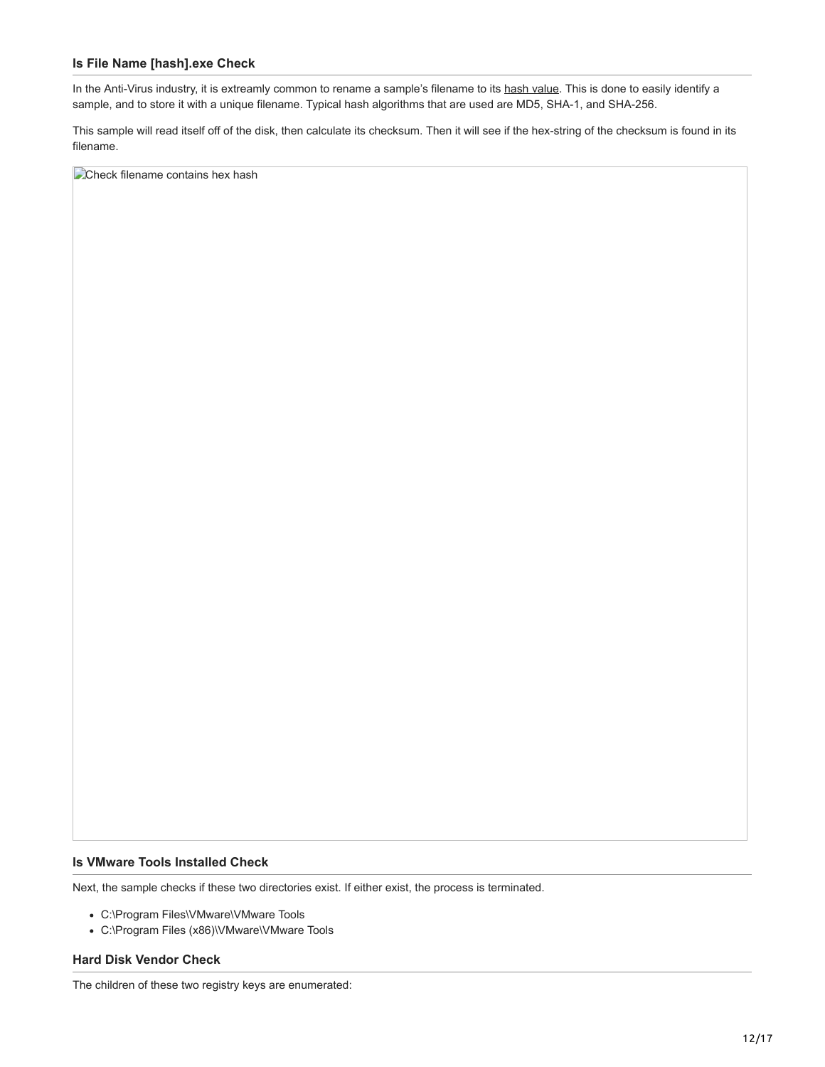## **Is File Name [hash].exe Check**

In the Anti-Virus industry, it is extreamly common to rename a sample's filename to its [hash value](https://www.sentinelone.com/blog/what-is-hash-how-does-it-work/). This is done to easily identify a sample, and to store it with a unique filename. Typical hash algorithms that are used are MD5, SHA-1, and SHA-256.

This sample will read itself off of the disk, then calculate its checksum. Then it will see if the hex-string of the checksum is found in its filename.

Check filename contains hex hash

## **Is VMware Tools Installed Check**

Next, the sample checks if these two directories exist. If either exist, the process is terminated.

- C:\Program Files\VMware\VMware Tools
- C:\Program Files (x86)\VMware\VMware Tools

#### **Hard Disk Vendor Check**

The children of these two registry keys are enumerated: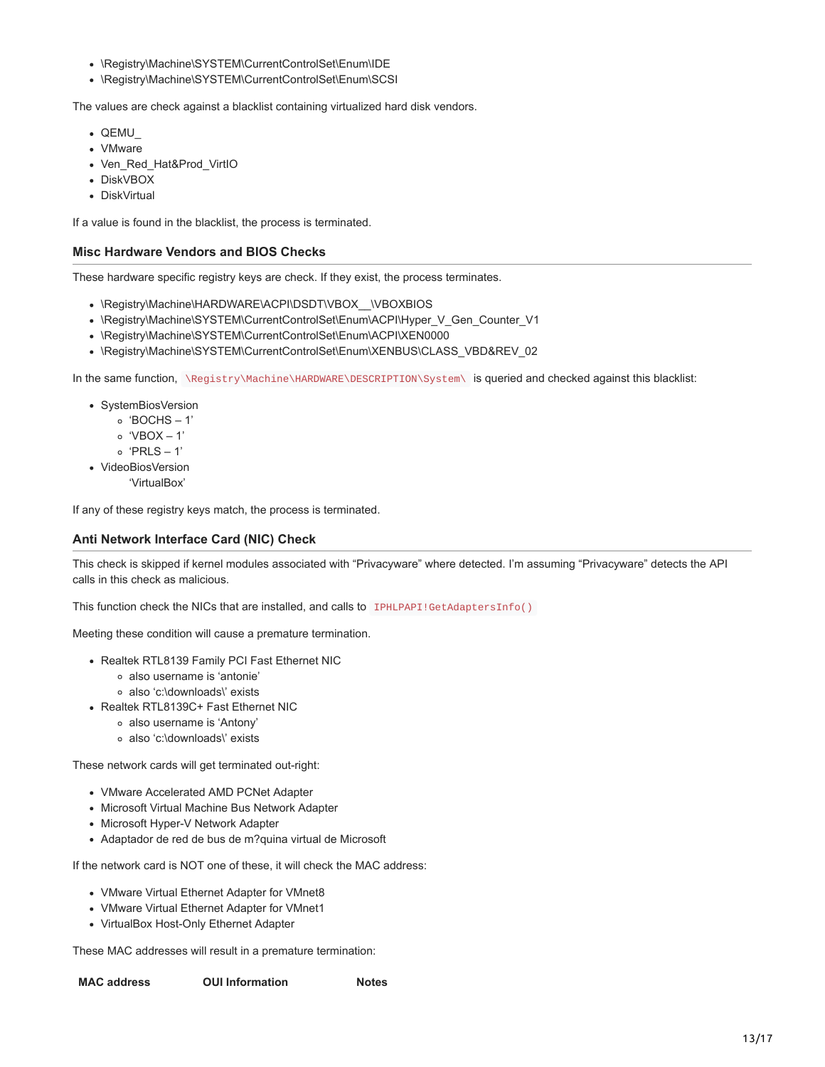- \Registry\Machine\SYSTEM\CurrentControlSet\Enum\IDE
- \Registry\Machine\SYSTEM\CurrentControlSet\Enum\SCSI

The values are check against a blacklist containing virtualized hard disk vendors.

- QEMU\_
- VMware
- Ven\_Red\_Hat&Prod\_VirtIO
- DiskVBOX
- DiskVirtual

If a value is found in the blacklist, the process is terminated.

## **Misc Hardware Vendors and BIOS Checks**

These hardware specific registry keys are check. If they exist, the process terminates.

- . \Registry\Machine\HARDWARE\ACPI\DSDT\VBOX\_\VBOXBIOS
- \Registry\Machine\SYSTEM\CurrentControlSet\Enum\ACPI\Hyper\_V\_Gen\_Counter\_V1
- \Registry\Machine\SYSTEM\CurrentControlSet\Enum\ACPI\XEN0000
- \Registry\Machine\SYSTEM\CurrentControlSet\Enum\XENBUS\CLASS\_VBD&REV\_02

In the same function, \Registry\Machine\HARDWARE\DESCRIPTION\System\ is queried and checked against this blacklist:

- SystemBiosVersion
	- 'BOCHS 1'
	- 'VBOX 1'
	- 'PRLS 1'
- VideoBiosVersion
	- 'VirtualBox'

If any of these registry keys match, the process is terminated.

## **Anti Network Interface Card (NIC) Check**

This check is skipped if kernel modules associated with "Privacyware" where detected. I'm assuming "Privacyware" detects the API calls in this check as malicious.

This function check the NICs that are installed, and calls to IPHLPAPI!GetAdaptersInfo()

Meeting these condition will cause a premature termination.

- Realtek RTL8139 Family PCI Fast Ethernet NIC
	- also username is 'antonie'
	- also 'c:\downloads\' exists
- Realtek RTL8139C+ Fast Ethernet NIC
	- also username is 'Antony'
	- also 'c:\downloads\' exists

These network cards will get terminated out-right:

- VMware Accelerated AMD PCNet Adapter
- Microsoft Virtual Machine Bus Network Adapter
- Microsoft Hyper-V Network Adapter
- Adaptador de red de bus de m?quina virtual de Microsoft

If the network card is NOT one of these, it will check the MAC address:

- VMware Virtual Ethernet Adapter for VMnet8
- VMware Virtual Ethernet Adapter for VMnet1
- VirtualBox Host-Only Ethernet Adapter

These MAC addresses will result in a premature termination:

| <b>MAC address</b> | <b>OUI Information</b> | <b>Notes</b> |
|--------------------|------------------------|--------------|
|--------------------|------------------------|--------------|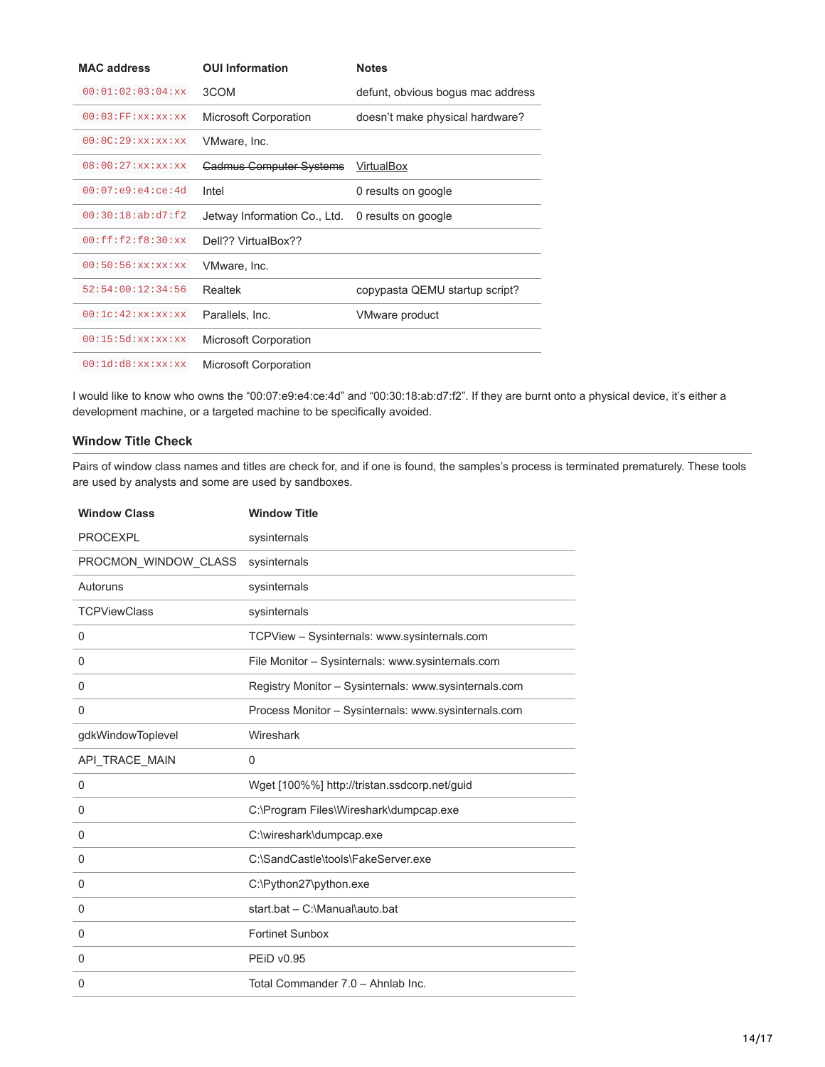| <b>MAC address</b>         | <b>OUI Information</b>         | <b>Notes</b>                      |
|----------------------------|--------------------------------|-----------------------------------|
| 00:01:02:03:04:xx          | 3COM                           | defunt, obvious bogus mac address |
| 00:03:FF:XX:XX:XX          | <b>Microsoft Corporation</b>   | doesn't make physical hardware?   |
| 00:0C:29:XX:XX:XX          | VMware, Inc.                   |                                   |
| 08:00:27:xx:xx:xx          | <b>Cadmus Computer Systems</b> | <b>VirtualBox</b>                 |
| 00:07:e9:e4:ce:4d          | Intel                          | 0 results on google               |
| 00:30:18:ab:07:f2          | Jetway Information Co., Ltd.   | 0 results on google               |
| $00:$ ff: f2: f8: 30: $XX$ | Dell?? VirtualBox??            |                                   |
| 00:50:56:xx:xx:xx          | VMware, Inc.                   |                                   |
| 52:54:00:12:34:56          | Realtek                        | copypasta QEMU startup script?    |
| 00:1c:42:XX:XX:XX          | Parallels, Inc.                | VMware product                    |
| 00:15:5d:xx:xx:xx          | <b>Microsoft Corporation</b>   |                                   |
| 00:1d:dB:xx:xx:xx          | <b>Microsoft Corporation</b>   |                                   |

I would like to know who owns the "00:07:e9:e4:ce:4d" and "00:30:18:ab:d7:f2". If they are burnt onto a physical device, it's either a development machine, or a targeted machine to be specifically avoided.

## **Window Title Check**

Pairs of window class names and titles are check for, and if one is found, the samples's process is terminated prematurely. These tools are used by analysts and some are used by sandboxes.

| <b>Window Class</b>  | <b>Window Title</b>                                   |
|----------------------|-------------------------------------------------------|
| <b>PROCEXPL</b>      | sysinternals                                          |
| PROCMON WINDOW CLASS | sysinternals                                          |
| Autoruns             | sysinternals                                          |
| <b>TCPViewClass</b>  | sysinternals                                          |
| 0                    | TCPView - Sysinternals: www.sysinternals.com          |
| 0                    | File Monitor - Sysinternals: www.sysinternals.com     |
| 0                    | Registry Monitor - Sysinternals: www.sysinternals.com |
| 0                    | Process Monitor - Sysinternals: www.sysinternals.com  |
| gdkWindowToplevel    | Wireshark                                             |
| API_TRACE_MAIN       | 0                                                     |
| $\Omega$             | Wget [100%%] http://tristan.ssdcorp.net/guid          |
| 0                    | C:\Program Files\Wireshark\dumpcap.exe                |
| 0                    | C:\wireshark\dumpcap.exe                              |
| 0                    | C:\SandCastle\tools\FakeServer.exe                    |
| 0                    | C:\Python27\python.exe                                |
| 0                    | start.bat - C:\Manual\auto.bat                        |
| 0                    | <b>Fortinet Sunbox</b>                                |
| 0                    | <b>PEID v0.95</b>                                     |
| 0                    | Total Commander 7.0 - Ahnlab Inc.                     |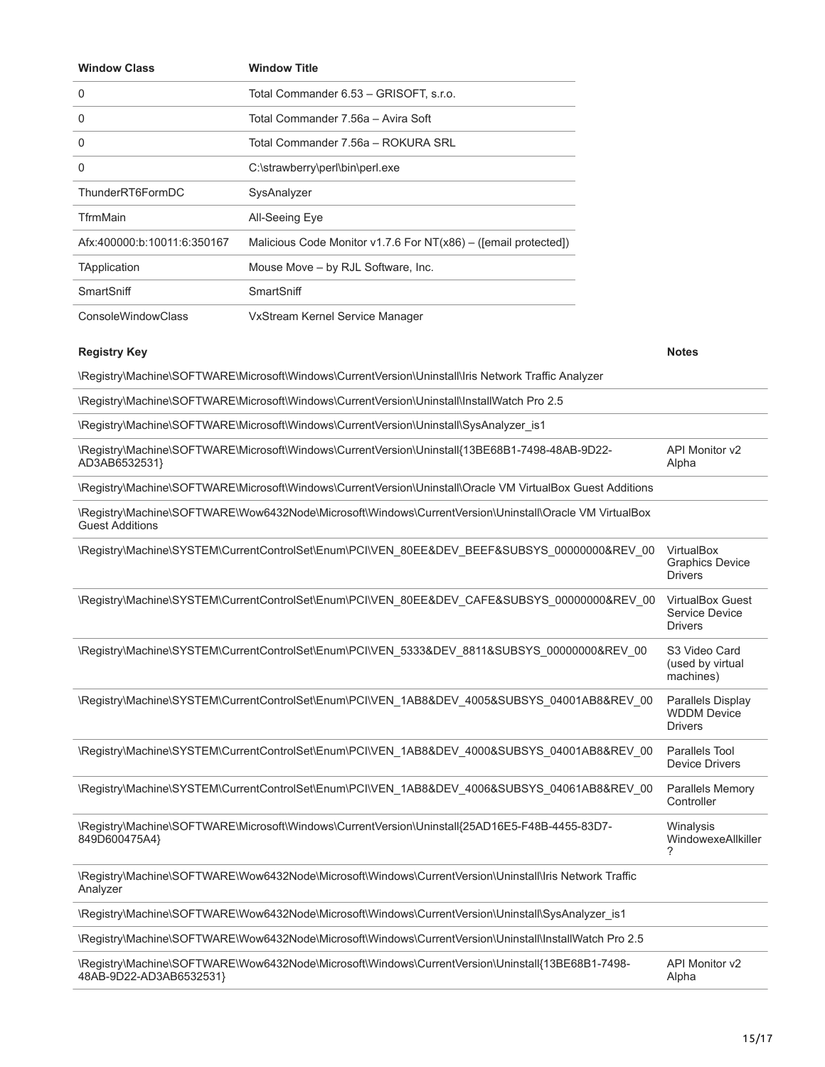| <b>Window Class</b>         | <b>Window Title</b>                                                                                             |                                                             |
|-----------------------------|-----------------------------------------------------------------------------------------------------------------|-------------------------------------------------------------|
| 0                           | Total Commander 6.53 - GRISOFT, s.r.o.                                                                          |                                                             |
| 0                           | Total Commander 7.56a - Avira Soft                                                                              |                                                             |
| 0                           | Total Commander 7.56a - ROKURA SRL                                                                              |                                                             |
| 0                           | C:\strawberry\perl\bin\perl.exe                                                                                 |                                                             |
| ThunderRT6FormDC            | SysAnalyzer                                                                                                     |                                                             |
| TfrmMain                    | All-Seeing Eye                                                                                                  |                                                             |
| Afx:400000:b:10011:6:350167 | Malicious Code Monitor v1.7.6 For NT(x86) - ([email protected])                                                 |                                                             |
| TApplication                | Mouse Move - by RJL Software, Inc.                                                                              |                                                             |
| SmartSniff                  | SmartSniff                                                                                                      |                                                             |
| ConsoleWindowClass          | VxStream Kernel Service Manager                                                                                 |                                                             |
| <b>Registry Key</b>         |                                                                                                                 | <b>Notes</b>                                                |
|                             | \Registry\Machine\SOFTWARE\Microsoft\Windows\CurrentVersion\Uninstall\Iris Network Traffic Analyzer             |                                                             |
|                             | \Registry\Machine\SOFTWARE\Microsoft\Windows\CurrentVersion\Uninstall\Install\Vatch Pro 2.5                     |                                                             |
|                             | \Registry\Machine\SOFTWARE\Microsoft\Windows\CurrentVersion\Uninstall\SysAnalyzer_is1                           |                                                             |
| AD3AB6532531}               | \Registry\Machine\SOFTWARE\Microsoft\Windows\CurrentVersion\Uninstall{13BE68B1-7498-48AB-9D22-                  | API Monitor v2<br>Alpha                                     |
|                             | \Registry\Machine\SOFTWARE\Microsoft\Windows\CurrentVersion\Uninstall\Oracle VM VirtualBox Guest Additions      |                                                             |
| <b>Guest Additions</b>      | \Registry\Machine\SOFTWARE\Wow6432Node\Microsoft\Windows\CurrentVersion\Uninstall\Oracle VM VirtualBox          |                                                             |
|                             | \Registry\Machine\SYSTEM\CurrentControlSet\Enum\PCl\VEN_80EE&DEV_BEEF&SUBSYS_00000000&REV_00                    | VirtualBox<br><b>Graphics Device</b><br><b>Drivers</b>      |
|                             | \Registry\Machine\SYSTEM\CurrentControlSet\Enum\PCI\VEN_80EE&DEV_CAFE&SUBSYS_00000000&REV_00                    | <b>VirtualBox Guest</b><br>Service Device<br><b>Drivers</b> |
|                             | \Registry\Machine\SYSTEM\CurrentControlSet\Enum\PCI\VEN_5333&DEV_8811&SUBSYS_00000000&REV_00                    | S3 Video Card<br>(used by virtual<br>machines)              |
|                             | \Registry\Machine\SYSTEM\CurrentControlSet\Enum\PCl\VEN_1AB8&DEV_4005&SUBSYS_04001AB8&REV_00                    | Parallels Display<br><b>WDDM Device</b><br><b>Drivers</b>   |
|                             | \Registry\Machine\SYSTEM\CurrentControlSet\Enum\PCI\VEN_1AB8&DEV_4000&SUBSYS_04001AB8&REV_00                    | Parallels Tool<br>Device Drivers                            |
|                             | \Registry\Machine\SYSTEM\CurrentControlSet\Enum\PCI\VEN_1AB8&DEV_4006&SUBSYS_04061AB8&REV_00                    | <b>Parallels Memory</b><br>Controller                       |
| 849D600475A4}               | \Registry\Machine\SOFTWARE\Microsoft\Windows\CurrentVersion\Uninstall{25AD16E5-F48B-4455-83D7-                  | Winalysis<br>WindowexeAllkiller<br>7                        |
| Analyzer                    | \Registry\Machine\SOFTWARE\Wow6432Node\Microsoft\Windows\CurrentVersion\Uninstall\Iris Network Traffic          |                                                             |
|                             | \Registry\Machine\SOFTWARE\Wow6432Node\Microsoft\Windows\CurrentVersion\Uninstall\SysAnalyzer_is1               |                                                             |
|                             | /Registry/Machine\SOFTWARE\Wow6432Node\Microsoft\Windows\CurrentVersion\Uninstall\Install\Install\Vatch Pro 2.5 |                                                             |
| 48AB-9D22-AD3AB6532531}     | \Registry\Machine\SOFTWARE\Wow6432Node\Microsoft\Windows\CurrentVersion\Uninstall{13BE68B1-7498-                | API Monitor v2<br>Alpha                                     |
|                             |                                                                                                                 |                                                             |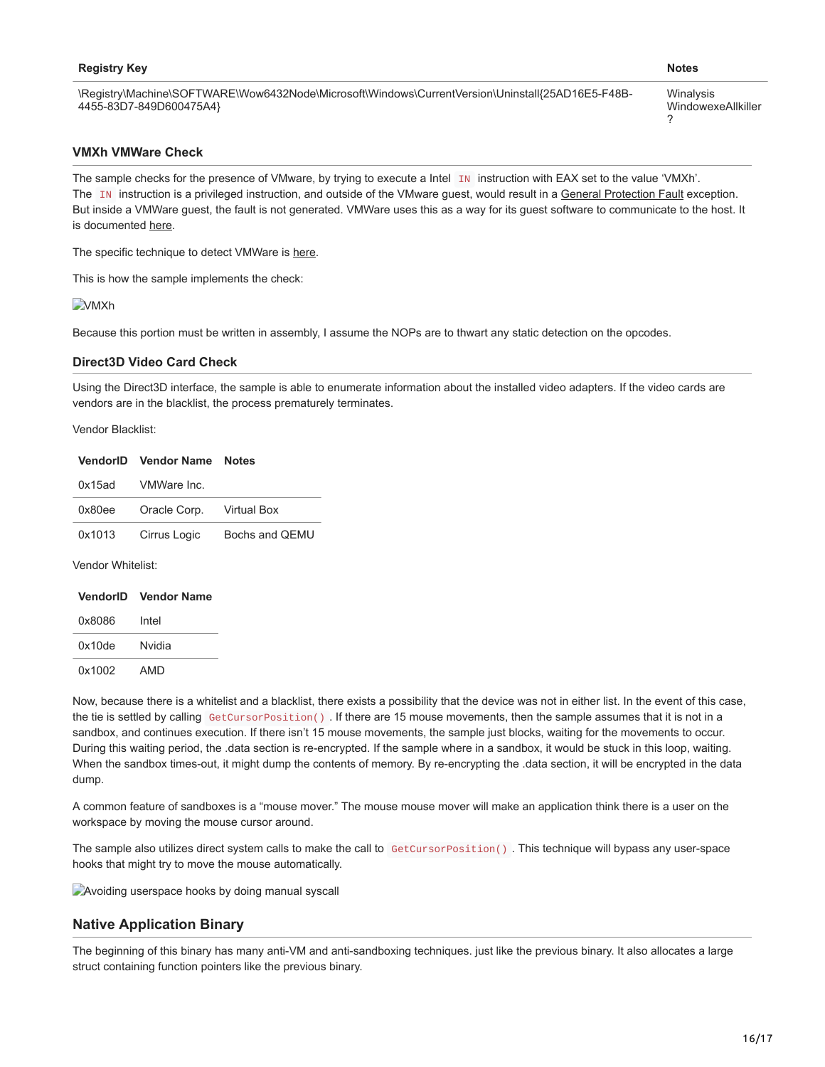\Registry\Machine\SOFTWARE\Wow6432Node\Microsoft\Windows\CurrentVersion\Uninstall{25AD16E5-F48B-4455-83D7-849D600475A4}

**Winalysis** WindowexeAllkiller ?

## **VMXh VMWare Check**

The sample checks for the presence of VMware, by trying to execute a Intel IN instruction with EAX set to the value 'VMXh'. The IN instruction is a privileged instruction, and outside of the VMware guest, would result in a [General Protection Fault](http://wiki.osdev.org/Exceptions#General_Protection_Fault) exception. But inside a VMWare guest, the fault is not generated. VMWare uses this as a way for its guest software to communicate to the host. It is documented [here.](https://sites.google.com/site/chitchatvmback/backdoor)

The specific technique to detect VMWare is [here](https://www.aldeid.com/wiki/VMXh-Magic-Value).

This is how the sample implements the check:

## **EVMXh**

Because this portion must be written in assembly, I assume the NOPs are to thwart any static detection on the opcodes.

#### **Direct3D Video Card Check**

Using the Direct3D interface, the sample is able to enumerate information about the installed video adapters. If the video cards are vendors are in the blacklist, the process prematurely terminates.

Vendor Blacklist:

| <b>VendorID</b> Vendor Name Notes |                |
|-----------------------------------|----------------|
| 0x15ad VMWare Inc.                |                |
| 0x80ee Oracle Corp. Virtual Box   |                |
| 0x1013 Cirrus Logic               | Bochs and QEMU |

Vendor Whitelist:

|        | <b>VendorID</b> Vendor Name |
|--------|-----------------------------|
| 0x8086 | Intel                       |
| 0x10de | Nvidia                      |
| 0x1002 | AMD                         |

Now, because there is a whitelist and a blacklist, there exists a possibility that the device was not in either list. In the event of this case, the tie is settled by calling GetCursorPosition() . If there are 15 mouse movements, then the sample assumes that it is not in a sandbox, and continues execution. If there isn't 15 mouse movements, the sample just blocks, waiting for the movements to occur. During this waiting period, the .data section is re-encrypted. If the sample where in a sandbox, it would be stuck in this loop, waiting. When the sandbox times-out, it might dump the contents of memory. By re-encrypting the .data section, it will be encrypted in the data dump.

A common feature of sandboxes is a "mouse mover." The mouse mouse mover will make an application think there is a user on the workspace by moving the mouse cursor around.

The sample also utilizes direct system calls to make the call to GetCursorPosition(). This technique will bypass any user-space hooks that might try to move the mouse automatically.

**Avoiding userspace hooks by doing manual syscall** 

## **Native Application Binary**

The beginning of this binary has many anti-VM and anti-sandboxing techniques. just like the previous binary. It also allocates a large struct containing function pointers like the previous binary.